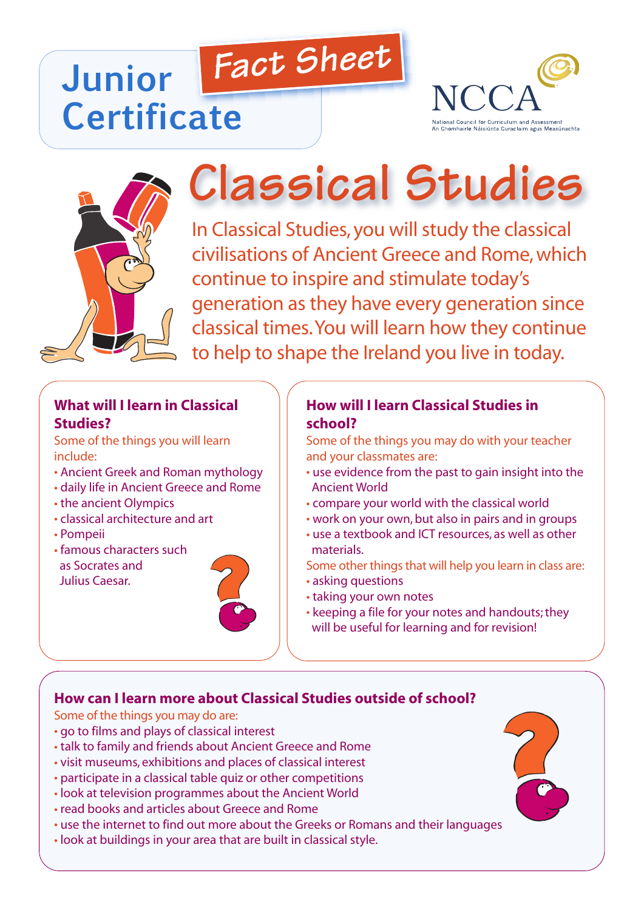# *Fact Sheet* **Junior Certificate**





# **Classical Studies**

In Classical Studies, you will study the classical civilisations of Ancient Greece and Rome,which continue to inspire and stimulate today's generation as they have every generation since classical times.You will learn how they continue to help to shape the Ireland you live in today.

# **What will I learn in Classical Studies?**

Some of the things you will learn include:

- Ancient Greek and Roman mythology
- daily life in Ancient Greece and Rome
- the ancient Olympics
- classical architecture and art
- Pompeii
- famous characters such as Socrates and Julius Caesar.



#### **How will I learn Classical Studies in school?**

Some of the things you may do with your teacher and your classmates are:

- use evidence from the past to gain insight into the Ancient World
- compare your world with the classical world
- work on your own, but also in pairs and in groups
- use a textbook and ICT resources, as well as other materials.
- Some other things that will help you learn in class are:
- asking questions
- taking your own notes
- keeping a file for your notes and handouts;they will be useful for learning and for revision!

#### **How can I learn more about Classical Studies outside of school?**

Some of the things you may do are:

- go to films and plays of classical interest
- talk to family and friends about Ancient Greece and Rome
- visit museums, exhibitions and places of classical interest
- participate in a classical table quiz or other competitions
- look at television programmes about the Ancient World
- read books and articles about Greece and Rome
- use the internet to find out more about the Greeks or Romans and their languages
- look at buildings in your area that are built in classical style.